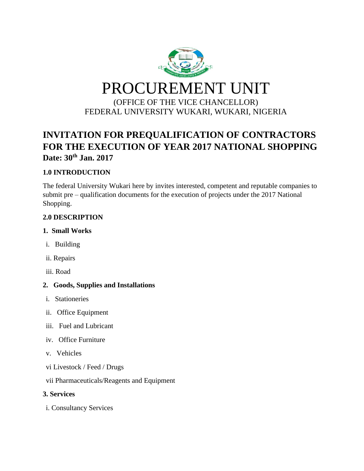

# **INVITATION FOR PREQUALIFICATION OF CONTRACTORS FOR THE EXECUTION OF YEAR 2017 NATIONAL SHOPPING Date: 30th Jan. 2017**

## **1.0 INTRODUCTION**

The federal University Wukari here by invites interested, competent and reputable companies to submit pre – qualification documents for the execution of projects under the 2017 National Shopping.

## **2.0 DESCRIPTION**

## **1. Small Works**

- i. Building
- ii. Repairs
- iii. Road

## **2. Goods, Supplies and Installations**

- i. Stationeries
- ii. Office Equipment
- iii. Fuel and Lubricant
- iv. Office Furniture
- v. Vehicles
- vi Livestock / Feed / Drugs

vii Pharmaceuticals/Reagents and Equipment

#### **3. Services**

i. Consultancy Services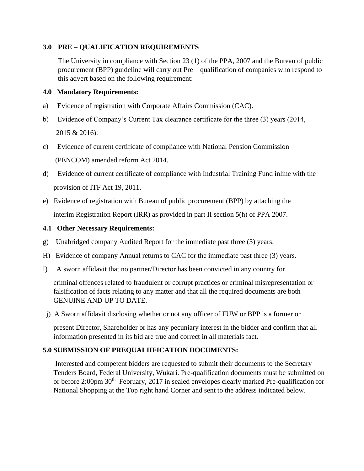#### **3.0 PRE – QUALIFICATION REQUIREMENTS**

The University in compliance with Section 23 (1) of the PPA, 2007 and the Bureau of public procurement (BPP) guideline will carry out Pre – qualification of companies who respond to this advert based on the following requirement:

#### **4.0 Mandatory Requirements:**

- a) Evidence of registration with Corporate Affairs Commission (CAC).
- b) Evidence of Company's Current Tax clearance certificate for the three (3) years (2014, 2015 & 2016).
- c) Evidence of current certificate of compliance with National Pension Commission (PENCOM) amended reform Act 2014.
- d) Evidence of current certificate of compliance with Industrial Training Fund inline with the provision of ITF Act 19, 2011.
- e) Evidence of registration with Bureau of public procurement (BPP) by attaching the interim Registration Report (IRR) as provided in part II section 5(h) of PPA 2007.

#### **4.1 Other Necessary Requirements:**

- g) Unabridged company Audited Report for the immediate past three (3) years.
- H) Evidence of company Annual returns to CAC for the immediate past three (3) years.
- I) A sworn affidavit that no partner/Director has been convicted in any country for

criminal offences related to fraudulent or corrupt practices or criminal misrepresentation or falsification of facts relating to any matter and that all the required documents are both GENUINE AND UP TO DATE.

j) A Sworn affidavit disclosing whether or not any officer of FUW or BPP is a former or

present Director, Shareholder or has any pecuniary interest in the bidder and confirm that all information presented in its bid are true and correct in all materials fact.

#### **5.0 SUBMISSION OF PREQUALIIFICATION DOCUMENTS:**

Interested and competent bidders are requested to submit their documents to the Secretary Tenders Board, Federal University, Wukari. Pre-qualification documents must be submitted on or before 2:00pm 30<sup>th</sup> February, 2017 in sealed envelopes clearly marked Pre-qualification for National Shopping at the Top right hand Corner and sent to the address indicated below.